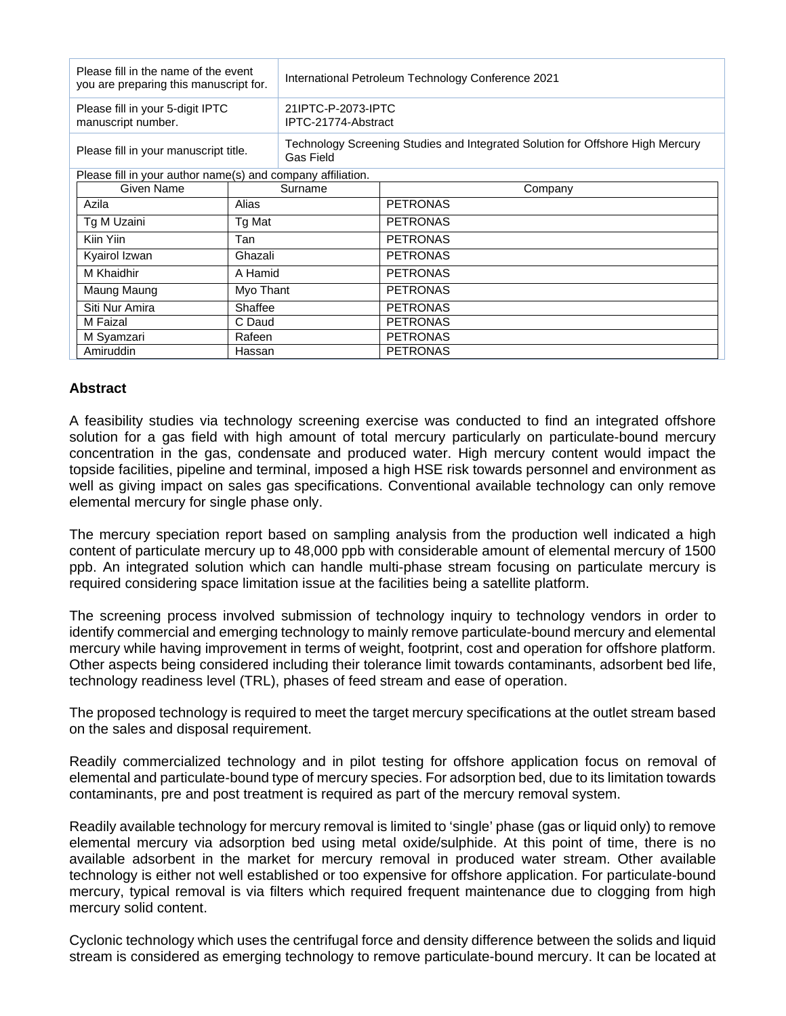| Please fill in the name of the event<br>you are preparing this manuscript for. |           | International Petroleum Technology Conference 2021                                          |                 |
|--------------------------------------------------------------------------------|-----------|---------------------------------------------------------------------------------------------|-----------------|
| Please fill in your 5-digit IPTC<br>manuscript number.                         |           | 21IPTC-P-2073-IPTC<br>IPTC-21774-Abstract                                                   |                 |
| Please fill in your manuscript title.                                          |           | Technology Screening Studies and Integrated Solution for Offshore High Mercury<br>Gas Field |                 |
| Please fill in your author name(s) and company affiliation.                    |           |                                                                                             |                 |
| Given Name                                                                     | Surname   |                                                                                             | Company         |
| Azila                                                                          | Alias     |                                                                                             | <b>PETRONAS</b> |
| Tg M Uzaini                                                                    | Tg Mat    |                                                                                             | <b>PETRONAS</b> |
| Kiin Yiin                                                                      | Tan       |                                                                                             | <b>PETRONAS</b> |
| Kyairol Izwan                                                                  | Ghazali   |                                                                                             | <b>PETRONAS</b> |
| M Khaidhir                                                                     | A Hamid   |                                                                                             | <b>PETRONAS</b> |
| Maung Maung                                                                    | Myo Thant |                                                                                             | <b>PETRONAS</b> |
| Siti Nur Amira                                                                 | Shaffee   |                                                                                             | <b>PETRONAS</b> |
| M Faizal                                                                       | C Daud    |                                                                                             | <b>PETRONAS</b> |
| M Syamzari                                                                     | Rafeen    |                                                                                             | <b>PETRONAS</b> |
| Amiruddin                                                                      | Hassan    |                                                                                             | <b>PETRONAS</b> |

## **Abstract**

A feasibility studies via technology screening exercise was conducted to find an integrated offshore solution for a gas field with high amount of total mercury particularly on particulate-bound mercury concentration in the gas, condensate and produced water. High mercury content would impact the topside facilities, pipeline and terminal, imposed a high HSE risk towards personnel and environment as well as giving impact on sales gas specifications. Conventional available technology can only remove elemental mercury for single phase only.

The mercury speciation report based on sampling analysis from the production well indicated a high content of particulate mercury up to 48,000 ppb with considerable amount of elemental mercury of 1500 ppb. An integrated solution which can handle multi-phase stream focusing on particulate mercury is required considering space limitation issue at the facilities being a satellite platform.

The screening process involved submission of technology inquiry to technology vendors in order to identify commercial and emerging technology to mainly remove particulate-bound mercury and elemental mercury while having improvement in terms of weight, footprint, cost and operation for offshore platform. Other aspects being considered including their tolerance limit towards contaminants, adsorbent bed life, technology readiness level (TRL), phases of feed stream and ease of operation.

The proposed technology is required to meet the target mercury specifications at the outlet stream based on the sales and disposal requirement.

Readily commercialized technology and in pilot testing for offshore application focus on removal of elemental and particulate-bound type of mercury species. For adsorption bed, due to its limitation towards contaminants, pre and post treatment is required as part of the mercury removal system.

Readily available technology for mercury removal is limited to 'single' phase (gas or liquid only) to remove elemental mercury via adsorption bed using metal oxide/sulphide. At this point of time, there is no available adsorbent in the market for mercury removal in produced water stream. Other available technology is either not well established or too expensive for offshore application. For particulate-bound mercury, typical removal is via filters which required frequent maintenance due to clogging from high mercury solid content.

Cyclonic technology which uses the centrifugal force and density difference between the solids and liquid stream is considered as emerging technology to remove particulate-bound mercury. It can be located at